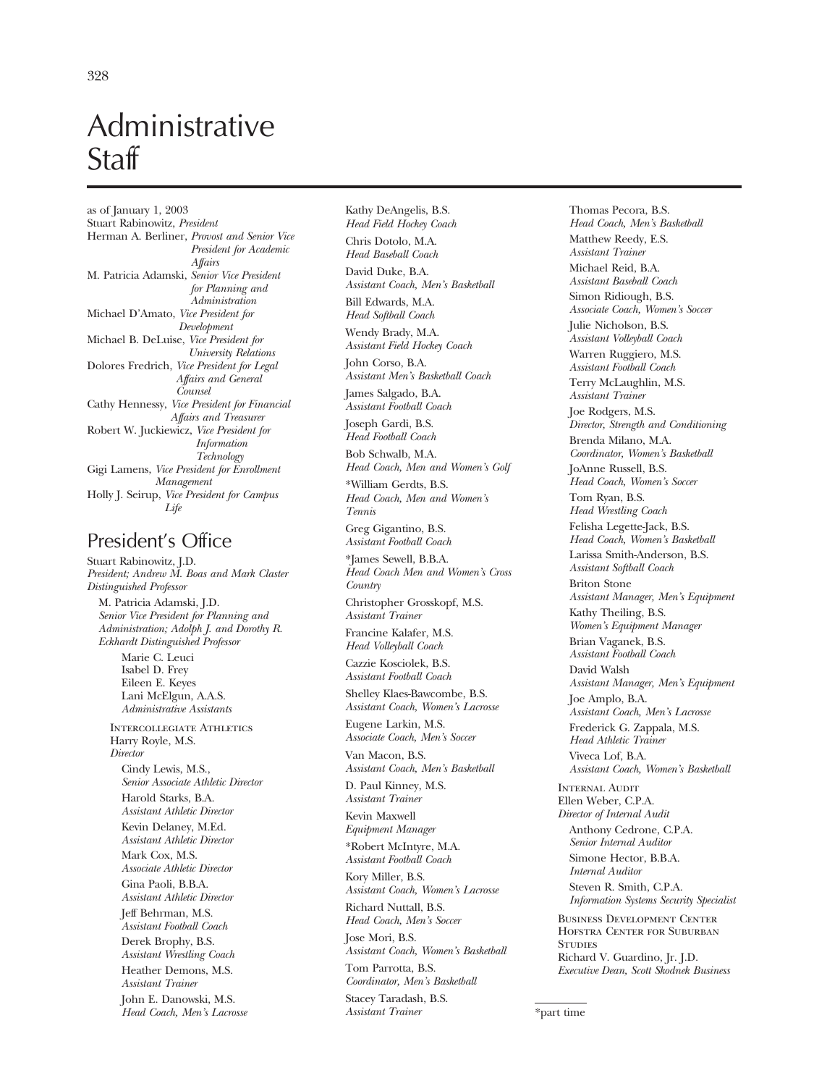# Administrative **Staff**

as of January 1, 2003 Stuart Rabinowitz, *President*  Herman A. Berliner, *Provost and Senior Vice President for Academic Affairs*  M. Patricia Adamski, *Senior Vice President for Planning and Administration*  Michael D'Amato, *Vice President for Development*  Michael B. DeLuise, *Vice President for University Relations*  Dolores Fredrich, *Vice President for Legal Affairs and General Counsel*  Cathy Hennessy, *Vice President for Financial Affairs and Treasurer*  Robert W. Juckiewicz, *Vice President for Information Technology*  Gigi Lamens, *Vice President for Enrollment Management*  Holly J. Seirup, *Vice President for Campus Life* 

## President's Office

Stuart Rabinowitz, J.D. *President; Andrew M. Boas and Mark Claster Distinguished Professor*  M. Patricia Adamski, J.D. *Senior Vice President for Planning and Administration; Adolph J. and Dorothy R. Eckhardt Distinguished Professor* 

Marie C. Leuci Isabel D. Frey Eileen E. Keyes Lani McElgun, A.A.S. *Administrative Assistants* 

Intercollegiate Athletics Harry Royle, M.S. *Director*  Cindy Lewis, M.S., *Senior Associate Athletic Director*  Harold Starks, B.A. *Assistant Athletic Director*  Kevin Delaney, M.Ed. *Assistant Athletic Director*  Mark Cox, M.S. *Associate Athletic Director*  Gina Paoli, B.B.A. *Assistant Athletic Director*  Jeff Behrman, M.S. *Assistant Football Coach*  Derek Brophy, B.S. *Assistant Wrestling Coach*  Heather Demons, M.S. *Assistant Trainer*  John E. Danowski, M.S. *Head Coach, Men's Lacrosse* 

Kathy DeAngelis, B.S. *Head Field Hockey Coach*  Chris Dotolo, M.A.

*Head Baseball Coach* 

David Duke, B.A. *Assistant Coach, Men's Basketball*  Bill Edwards, M.A.

*Head Softball Coach*  Wendy Brady, M.A. *Assistant Field Hockey Coach* 

John Corso, B.A. *Assistant Men's Basketball Coach* 

James Salgado, B.A. *Assistant Football Coach* 

Joseph Gardi, B.S. *Head Football Coach* 

Bob Schwalb, M.A. *Head Coach, Men and Women's Golf* 

\*William Gerdts, B.S. *Head Coach, Men and Women's Tennis* 

Greg Gigantino, B.S. *Assistant Football Coach* 

\*James Sewell, B.B.A. *Head Coach Men and Women's Cross Country* 

Christopher Grosskopf, M.S. *Assistant Trainer* 

Francine Kalafer, M.S. *Head Volleyball Coach* 

Cazzie Kosciolek, B.S. *Assistant Football Coach* 

Shelley Klaes-Bawcombe, B.S. *Assistant Coach, Women's Lacrosse* 

Eugene Larkin, M.S. *Associate Coach, Men's Soccer* 

Van Macon, B.S. *Assistant Coach, Men's Basketball* 

D. Paul Kinney, M.S. *Assistant Trainer* 

Kevin Maxwell *Equipment Manager* 

\*Robert McIntyre, M.A. *Assistant Football Coach* 

Kory Miller, B.S. *Assistant Coach, Women's Lacrosse*  Richard Nuttall, B.S.

*Head Coach, Men's Soccer* 

Tom Parrotta, B.S.

Jose Mori, B.S. *Assistant Coach, Women's Basketball* 

*Coordinator, Men's Basketball*  Stacey Taradash, B.S. *Assistant Trainer* 

Thomas Pecora, B.S. *Head Coach, Men's Basketball*  Matthew Reedy, E.S. *Assistant Trainer*  Michael Reid, B.A. *Assistant Baseball Coach*  Simon Ridiough, B.S. *Associate Coach, Women's Soccer*  Julie Nicholson, B.S. *Assistant Volleyball Coach*  Warren Ruggiero, M.S. *Assistant Football Coach*  Terry McLaughlin, M.S. *Assistant Trainer*  Joe Rodgers, M.S. *Director, Strength and Conditioning*  Brenda Milano, M.A. *Coordinator, Women's Basketball*  JoAnne Russell, B.S. *Head Coach, Women's Soccer*  Tom Ryan, B.S. *Head Wrestling Coach*  Felisha Legette-Jack, B.S. *Head Coach, Women's Basketball*  Larissa Smith-Anderson, B.S. *Assistant Softball Coach*  Briton Stone *Assistant Manager, Men's Equipment*  Kathy Theiling, B.S. *Women's Equipment Manager*  Brian Vaganek, B.S. *Assistant Football Coach*  David Walsh *Assistant Manager, Men's Equipment*  Joe Amplo, B.A. *Assistant Coach, Men's Lacrosse*  Frederick G. Zappala, M.S. *Head Athletic Trainer*  Viveca Lof, B.A. *Assistant Coach, Women's Basketball*  INTERNAL AUDIT Ellen Weber, C.P.A. *Director of Internal Audit*  Anthony Cedrone, C.P.A. *Senior Internal Auditor*  Simone Hector, B.B.A.

*Internal Auditor*  Steven R. Smith, C.P.A. *Information Systems Security Specialist* 

Business Development Center Hofstra Center for Suburban **STUDIES** Richard V. Guardino, Jr. J.D. *Executive Dean, Scott Skodnek Business* 

<sup>\*</sup>part time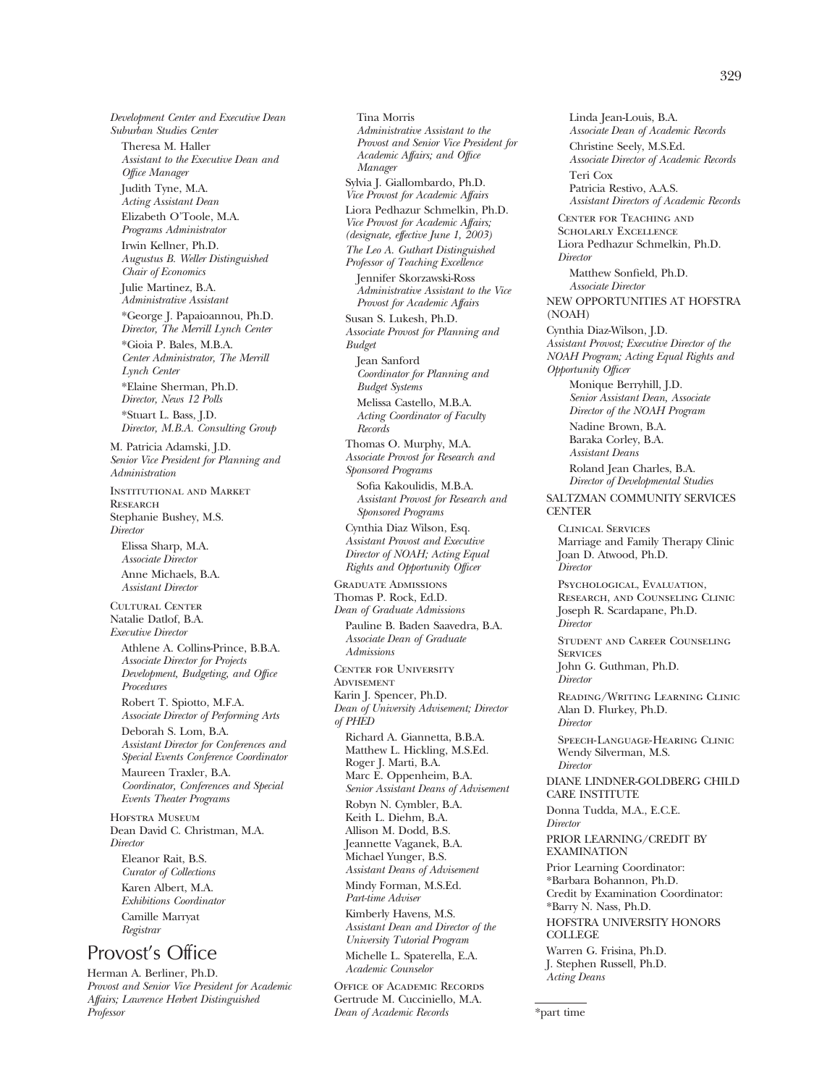*Development Center and Executive Dean Suburban Studies Center*  Theresa M. Haller *Assistant to the Executive Dean and Office Manager*  Judith Tyne, M.A. *Acting Assistant Dean*  Elizabeth O'Toole, M.A. *Programs Administrator*  Irwin Kellner, Ph.D. *Augustus B. Weller Distinguished Chair of Economics*  Julie Martinez, B.A. *Administrative Assistant*  \*George J. Papaioannou, Ph.D. *Director, The Merrill Lynch Center*  \*Gioia P. Bales, M.B.A. *Center Administrator, The Merrill Lynch Center*  \*Elaine Sherman, Ph.D. *Director, News 12 Polls*  \*Stuart L. Bass, J.D. *Director, M.B.A. Consulting Group*  M. Patricia Adamski, J.D. *Senior Vice President for Planning and Administration*  Institutional and Market **RESEARCH** Stephanie Bushey, M.S. *Director*  Elissa Sharp, M.A. *Associate Director*  Anne Michaels, B.A. *Assistant Director*  Cultural Center Natalie Datlof, B.A. *Executive Director*  Athlene A. Collins-Prince, B.B.A. *Associate Director for Projects Development, Budgeting, and Office Procedures*  Robert T. Spiotto, M.F.A. *Associate Director of Performing Arts*  Deborah S. Lom, B.A. *Assistant Director for Conferences and Special Events Conference Coordinator*  Maureen Traxler, B.A. *Coordinator, Conferences and Special Events Theater Programs*  HOFSTRA MUSEUM Dean David C. Christman, M.A. *Director*  Eleanor Rait, B.S. *Curator of Collections*  Karen Albert, M.A. *Exhibitions Coordinator*  Camille Marryat *Registrar*  Provost's Office

Herman A. Berliner, Ph.D. *Provost and Senior Vice President for Academic Affairs; Lawrence Herbert Distinguished Professor* 

Tina Morris *Administrative Assistant to the Provost and Senior Vice President for Academic Affairs; and Office Manager*  Sylvia J. Giallombardo, Ph.D. *Vice Provost for Academic Affairs*  Liora Pedhazur Schmelkin, Ph.D. *Vice Provost for Academic Affairs; (designate, effective June 1, 2003) The Leo A. Guthart Distinguished Professor of Teaching Excellence*  Jennifer Skorzawski-Ross *Administrative Assistant to the Vice Provost for Academic Affairs*  Susan S. Lukesh, Ph.D. *Associate Provost for Planning and Budget*  Jean Sanford *Coordinator for Planning and Budget Systems*  Melissa Castello, M.B.A. *Acting Coordinator of Faculty Records*  Thomas O. Murphy, M.A. *Associate Provost for Research and Sponsored Programs*  Sofia Kakoulidis, M.B.A. *Assistant Provost for Research and Sponsored Programs*  Cynthia Diaz Wilson, Esq. *Assistant Provost and Executive Director of NOAH; Acting Equal Rights and Opportunity Officer*  Graduate Admissions Thomas P. Rock, Ed.D. *Dean of Graduate Admissions*  Pauline B. Baden Saavedra, B.A. *Associate Dean of Graduate Admissions*  Center for University **ADVISEMENT** Karin J. Spencer, Ph.D. *Dean of University Advisement; Director of PHED*  Richard A. Giannetta, B.B.A. Matthew L. Hickling, M.S.Ed. Roger J. Marti, B.A. Marc E. Oppenheim, B.A. *Senior Assistant Deans of Advisement*  Robyn N. Cymbler, B.A. Keith L. Diehm, B.A. Allison M. Dodd, B.S. Jeannette Vaganek, B.A. Michael Yunger, B.S. *Assistant Deans of Advisement*  Mindy Forman, M.S.Ed. *Part-time Adviser*  Kimberly Havens, M.S. *Assistant Dean and Director of the University Tutorial Program*  Michelle L. Spaterella, E.A. *Academic Counselor* 

Office of Academic Records Gertrude M. Cucciniello, M.A. *Dean of Academic Records* 

Linda Jean-Louis, B.A. *Associate Dean of Academic Records*  Christine Seely, M.S.Ed. *Associate Director of Academic Records*  Teri Cox Patricia Restivo, A.A.S. *Assistant Directors of Academic Records*  Center for Teaching and Scholarly Excellence Liora Pedhazur Schmelkin, Ph.D. *Director*  Matthew Sonfield, Ph.D. *Associate Director*  NEW OPPORTUNITIES AT HOFSTRA (NOAH) Cynthia Diaz-Wilson, J.D. *Assistant Provost; Executive Director of the NOAH Program; Acting Equal Rights and Opportunity Officer*  Monique Berryhill, J.D. *Senior Assistant Dean, Associate Director of the NOAH Program*  Nadine Brown, B.A. Baraka Corley, B.A. *Assistant Deans*  Roland Jean Charles, B.A. *Director of Developmental Studies*  SALTZMAN COMMUNITY SERVICES **CENTER** Clinical Services Marriage and Family Therapy Clinic Joan D. Atwood, Ph.D. *Director*  Psychological, Evaluation, Research, and Counseling Clinic Joseph R. Scardapane, Ph.D. *Director*  Student and Career Counseling **SERVICES** John G. Guthman, Ph.D. *Director*  Reading/Writing Learning Clinic Alan D. Flurkey, Ph.D. *Director*  Speech-Language-Hearing Clinic Wendy Silverman, M.S. *Director*  DIANE LINDNER-GOLDBERG CHILD CARE INSTITUTE Donna Tudda, M.A., E.C.E. *Director*  PRIOR LEARNING/CREDIT BY EXAMINATION Prior Learning Coordinator: \*Barbara Bohannon, Ph.D. Credit by Examination Coordinator: \*Barry N. Nass, Ph.D. HOFSTRA UNIVERSITY HONORS COLLEGE Warren G. Frisina, Ph.D. J. Stephen Russell, Ph.D. *Acting Deans* 

\*part time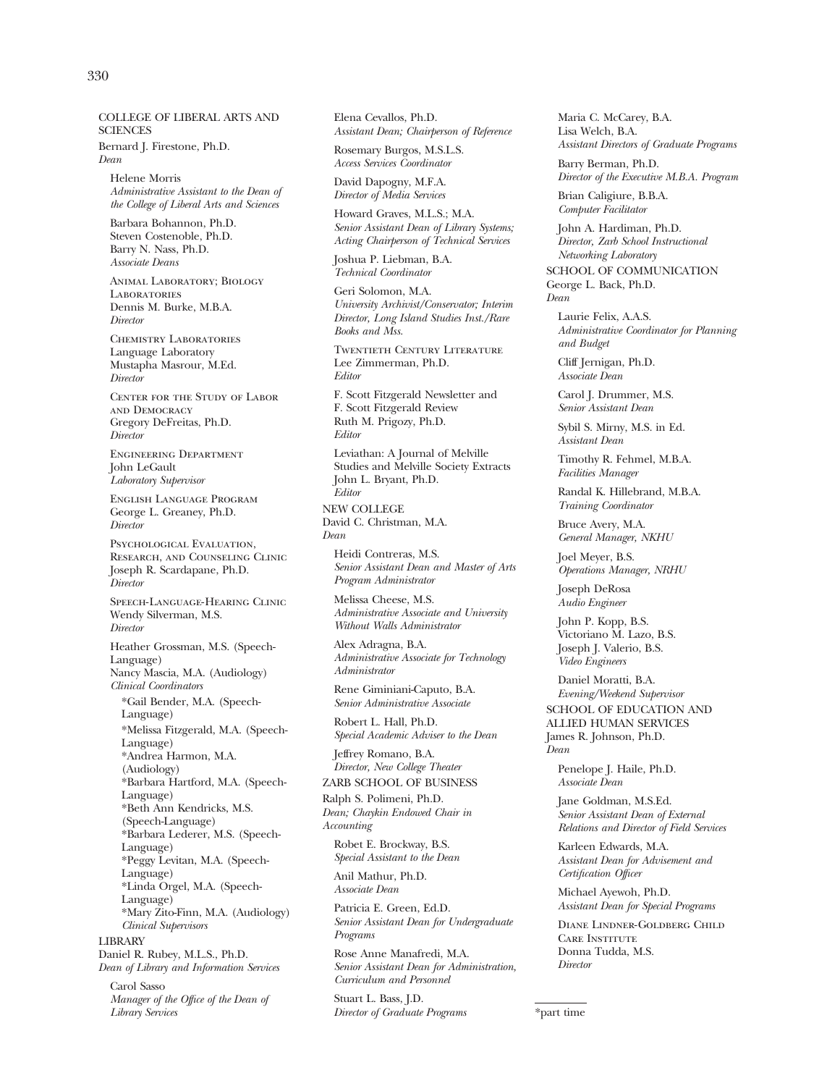### COLLEGE OF LIBERAL ARTS AND **SCIENCES**

Bernard J. Firestone, Ph.D. *Dean* 

Helene Morris *Administrative Assistant to the Dean of the College of Liberal Arts and Sciences* 

Barbara Bohannon, Ph.D. Steven Costenoble, Ph.D. Barry N. Nass, Ph.D. *Associate Deans* 

Animal Laboratory; Biology **LABORATORIES** Dennis M. Burke, M.B.A. *Director* 

Chemistry Laboratories Language Laboratory Mustapha Masrour, M.Ed. *Director* 

Center for the Study of Labor and Democracy Gregory DeFreitas, Ph.D. *Director* 

Engineering Department John LeGault *Laboratory Supervisor* 

English Language Program George L. Greaney, Ph.D. *Director* 

Psychological Evaluation. Research, and Counseling Clinic Joseph R. Scardapane, Ph.D. *Director* 

Speech-Language-Hearing Clinic Wendy Silverman, M.S. *Director* 

Heather Grossman, M.S. (Speech-Language) Nancy Mascia, M.A. (Audiology) *Clinical Coordinators*  \*Gail Bender, M.A. (Speech-Language) \*Melissa Fitzgerald, M.A. (Speech-Language) \*Andrea Harmon, M.A. (Audiology) \*Barbara Hartford, M.A. (Speech-Language) \*Beth Ann Kendricks, M.S. (Speech-Language) \*Barbara Lederer, M.S. (Speech-Language) \*Peggy Levitan, M.A. (Speech-Language) \*Linda Orgel, M.A. (Speech-Language) \*Mary Zito-Finn, M.A. (Audiology) *Clinical Supervisors* 

LIBRARY Daniel R. Rubey, M.L.S., Ph.D. *Dean of Library and Information Services*  Carol Sasso

*Manager of the Office of the Dean of Library Services* 

Elena Cevallos, Ph.D. *Assistant Dean; Chairperson of Reference* 

Rosemary Burgos, M.S.L.S. *Access Services Coordinator* 

David Dapogny, M.F.A. *Director of Media Services* 

Howard Graves, M.L.S.; M.A. *Senior Assistant Dean of Library Systems; Acting Chairperson of Technical Services* 

Joshua P. Liebman, B.A. *Technical Coordinator* 

Geri Solomon, M.A. *University Archivist/Conservator; Interim Director, Long Island Studies Inst./Rare Books and Mss.* 

Twentieth Century Literature Lee Zimmerman, Ph.D. *Editor* 

F. Scott Fitzgerald Newsletter and F. Scott Fitzgerald Review Ruth M. Prigozy, Ph.D. *Editor* 

Leviathan: A Journal of Melville Studies and Melville Society Extracts John L. Bryant, Ph.D. *Editor* 

NEW COLLEGE David C. Christman, M.A. *Dean* 

Heidi Contreras, M.S. *Senior Assistant Dean and Master of Arts Program Administrator* 

Melissa Cheese, M.S. *Administrative Associate and University Without Walls Administrator* 

Alex Adragna, B.A. *Administrative Associate for Technology Administrator* 

Rene Giminiani-Caputo, B.A. *Senior Administrative Associate* 

Robert L. Hall, Ph.D. *Special Academic Adviser to the Dean* 

Jeffrey Romano, B.A. *Director, New College Theater*  ZARB SCHOOL OF BUSINESS

Ralph S. Polimeni, Ph.D. *Dean; Chaykin Endowed Chair in Accounting* 

Robet E. Brockway, B.S. *Special Assistant to the Dean* 

Anil Mathur, Ph.D. *Associate Dean* 

Patricia E. Green, Ed.D. *Senior Assistant Dean for Undergraduate Programs* 

Rose Anne Manafredi, M.A. *Senior Assistant Dean for Administration, Curriculum and Personnel* 

Stuart L. Bass, J.D. *Director of Graduate Programs*  Maria C. McCarey, B.A. Lisa Welch, B.A. *Assistant Directors of Graduate Programs* 

Barry Berman, Ph.D. *Director of the Executive M.B.A. Program* 

Brian Caligiure, B.B.A. *Computer Facilitator* 

John A. Hardiman, Ph.D. *Director, Zarb School Instructional Networking Laboratory* 

SCHOOL OF COMMUNICATION George L. Back, Ph.D. *Dean* 

Laurie Felix, A.A.S. *Administrative Coordinator for Planning and Budget* 

Cliff Jernigan, Ph.D. *Associate Dean* 

Carol J. Drummer, M.S. *Senior Assistant Dean* 

Sybil S. Mirny, M.S. in Ed. *Assistant Dean* 

Timothy R. Fehmel, M.B.A. *Facilities Manager* 

Randal K. Hillebrand, M.B.A. *Training Coordinator* 

Bruce Avery, M.A. *General Manager, NKHU* 

Joel Meyer, B.S. *Operations Manager, NRHU* 

Joseph DeRosa *Audio Engineer* 

John P. Kopp, B.S. Victoriano M. Lazo, B.S. Joseph J. Valerio, B.S. *Video Engineers* 

Daniel Moratti, B.A. *Evening/Weekend Supervisor*  SCHOOL OF EDUCATION AND ALLIED HUMAN SERVICES

James R. Johnson, Ph.D. *Dean* 

Penelope J. Haile, Ph.D. *Associate Dean* 

Jane Goldman, M.S.Ed. *Senior Assistant Dean of External Relations and Director of Field Services* 

Karleen Edwards, M.A. *Assistant Dean for Advisement and Certification Officer* 

Michael Ayewoh, Ph.D. *Assistant Dean for Special Programs* 

Diane Lindner-Goldberg Child CARE INSTITUTE Donna Tudda, M.S. *Director* 

\*part time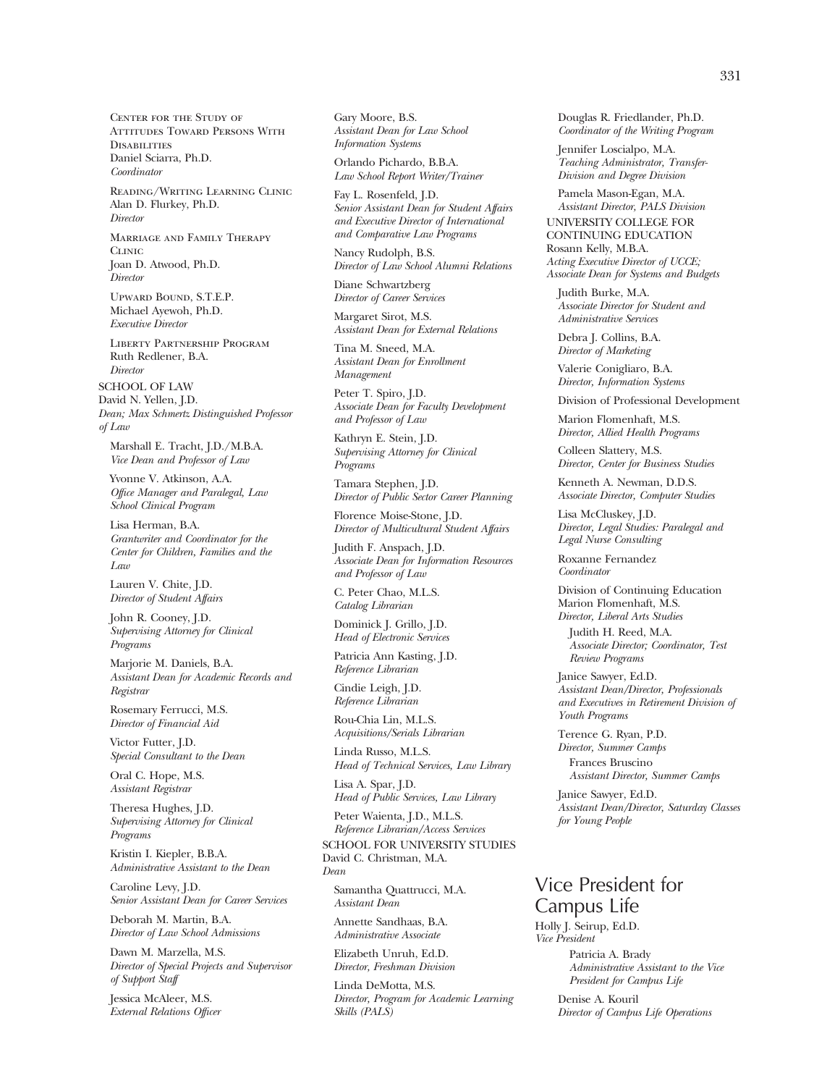Center for the Study of Attitudes Toward Persons With **DISABILITIES** Daniel Sciarra, Ph.D. *Coordinator* 

Reading/Writing Learning Clinic Alan D. Flurkey, Ph.D. *Director* 

Marriage and Family Therapy C<sub>LINIC</sub> Joan D. Atwood, Ph.D. *Director* 

Upward Bound, S.T.E.P. Michael Ayewoh, Ph.D. *Executive Director* 

Liberty Partnership Program Ruth Redlener, B.A. *Director* 

SCHOOL OF LAW David N. Yellen, J.D. *Dean; Max Schmertz Distinguished Professor of Law* 

Marshall E. Tracht, J.D./M.B.A. *Vice Dean and Professor of Law* 

Yvonne V. Atkinson, A.A. *Office Manager and Paralegal, Law School Clinical Program* 

Lisa Herman, B.A. *Grantwriter and Coordinator for the Center for Children, Families and the Law* 

Lauren V. Chite, J.D. *Director of Student Affairs* 

John R. Cooney, J.D. *Supervising Attorney for Clinical Programs* 

Marjorie M. Daniels, B.A. *Assistant Dean for Academic Records and Registrar* 

Rosemary Ferrucci, M.S. *Director of Financial Aid* 

Victor Futter, J.D. *Special Consultant to the Dean* 

Oral C. Hope, M.S. *Assistant Registrar* 

Theresa Hughes, J.D. *Supervising Attorney for Clinical Programs* 

Kristin I. Kiepler, B.B.A. *Administrative Assistant to the Dean* 

Caroline Levy, J.D. *Senior Assistant Dean for Career Services* 

Deborah M. Martin, B.A. *Director of Law School Admissions* 

Dawn M. Marzella, M.S. *Director of Special Projects and Supervisor of Support Staff* 

Jessica McAleer, M.S. *External Relations Officer*  Gary Moore, B.S. *Assistant Dean for Law School Information Systems* 

Orlando Pichardo, B.B.A. *Law School Report Writer/Trainer* 

Fay L. Rosenfeld, J.D. *Senior Assistant Dean for Student Affairs and Executive Director of International and Comparative Law Programs* 

Nancy Rudolph, B.S. *Director of Law School Alumni Relations* 

Diane Schwartzberg *Director of Career Services* 

Margaret Sirot, M.S. *Assistant Dean for External Relations* 

Tina M. Sneed, M.A. *Assistant Dean for Enrollment Management* 

Peter T. Spiro, J.D. *Associate Dean for Faculty Development and Professor of Law* 

Kathryn E. Stein, J.D. *Supervising Attorney for Clinical Programs* 

Tamara Stephen, J.D. *Director of Public Sector Career Planning* 

Florence Moise-Stone, J.D. *Director of Multicultural Student Affairs* 

Judith F. Anspach, J.D. *Associate Dean for Information Resources and Professor of Law* 

C. Peter Chao, M.L.S. *Catalog Librarian* 

Dominick J. Grillo, J.D. *Head of Electronic Services* 

Patricia Ann Kasting, J.D. *Reference Librarian* 

Cindie Leigh, J.D. *Reference Librarian* 

Rou-Chia Lin, M.L.S. *Acquisitions/Serials Librarian* 

Linda Russo, M.L.S. *Head of Technical Services, Law Library* 

Lisa A. Spar, J.D. *Head of Public Services, Law Library* 

Peter Waienta, J.D., M.L.S. *Reference Librarian/Access Services*  SCHOOL FOR UNIVERSITY STUDIES David C. Christman, M.A. *Dean* 

Samantha Quattrucci, M.A. *Assistant Dean* 

Annette Sandhaas, B.A. *Administrative Associate* 

Elizabeth Unruh, Ed.D. *Director, Freshman Division* 

Linda DeMotta, M.S. *Director, Program for Academic Learning Skills (PALS)* 

Douglas R. Friedlander, Ph.D. *Coordinator of the Writing Program* 

Jennifer Loscialpo, M.A. *Teaching Administrator, Transfer-Division and Degree Division* 

Pamela Mason-Egan, M.A. *Assistant Director, PALS Division* 

UNIVERSITY COLLEGE FOR CONTINUING EDUCATION Rosann Kelly, M.B.A. *Acting Executive Director of UCCE; Associate Dean for Systems and Budgets* 

Judith Burke, M.A. *Associate Director for Student and Administrative Services* 

Debra J. Collins, B.A. *Director of Marketing* 

Valerie Conigliaro, B.A. *Director, Information Systems* 

Division of Professional Development

Marion Flomenhaft, M.S. *Director, Allied Health Programs* 

Colleen Slattery, M.S. *Director, Center for Business Studies* 

Kenneth A. Newman, D.D.S. *Associate Director, Computer Studies* 

Lisa McCluskey, J.D. *Director, Legal Studies: Paralegal and Legal Nurse Consulting* 

Roxanne Fernandez *Coordinator* 

Division of Continuing Education Marion Flomenhaft, M.S. *Director, Liberal Arts Studies* 

Judith H. Reed, M.A. *Associate Director; Coordinator, Test Review Programs* 

Janice Sawyer, Ed.D. *Assistant Dean/Director, Professionals and Executives in Retirement Division of Youth Programs* 

Terence G. Ryan, P.D. *Director, Summer Camps*  Frances Bruscino

*Assistant Director, Summer Camps*  Janice Sawyer, Ed.D.

*Assistant Dean/Director, Saturday Classes for Young People* 

# Vice President for Campus Life

Holly J. Seirup, Ed.D. *Vice President* 

> Patricia A. Brady *Administrative Assistant to the Vice President for Campus Life*

Denise A. Kouril *Director of Campus Life Operations*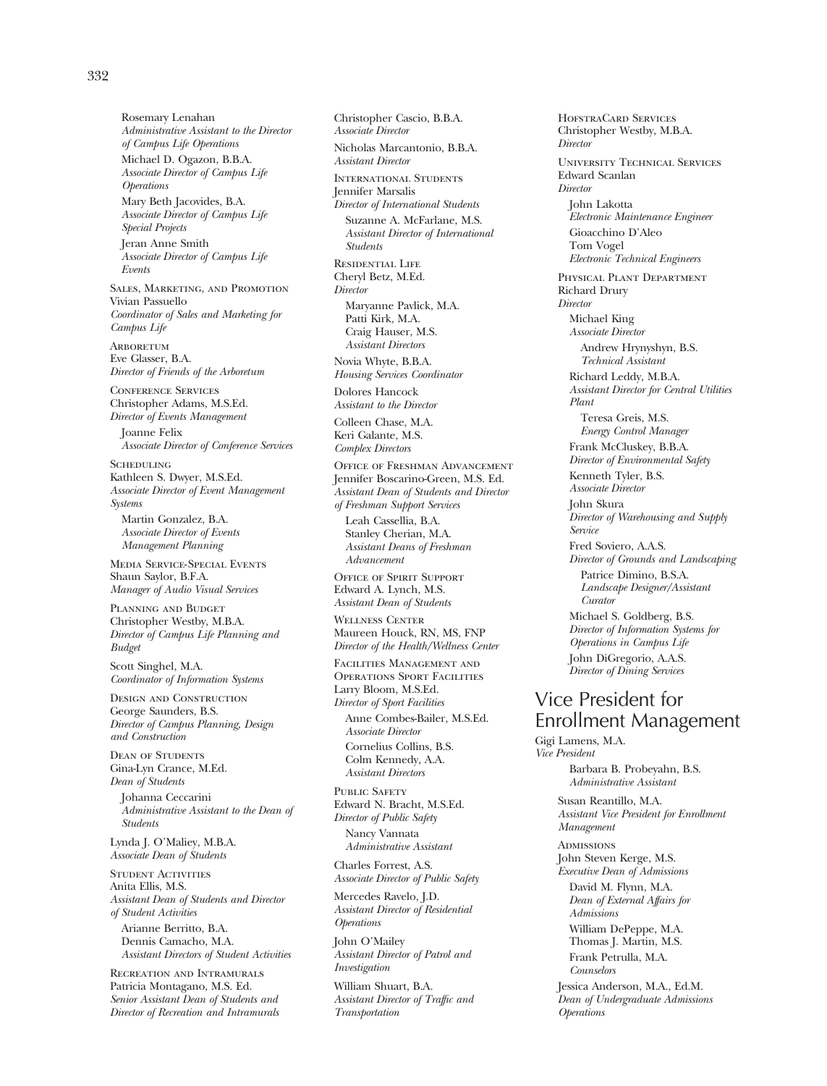*of Campus Life Operations*  Michael D. Ogazon, B.B.A. *Associate Director of Campus Life Operations*  Mary Beth Jacovides, B.A. *Associate Director of Campus Life Special Projects*  Jeran Anne Smith *Associate Director of Campus Life Events*  Sales, Marketing, and Promotion Vivian Passuello *Coordinator of Sales and Marketing for Campus Life* 

*Administrative Assistant to the Director* 

Rosemary Lenahan

**ARBORETUM** Eve Glasser, B.A. *Director of Friends of the Arboretum* 

Conference Services Christopher Adams, M.S.Ed. *Director of Events Management* 

Joanne Felix *Associate Director of Conference Services* 

**SCHEDULING** Kathleen S. Dwyer, M.S.Ed. *Associate Director of Event Management Systems*  Martin Gonzalez, B.A.

*Associate Director of Events Management Planning* 

Media Service-Special Events Shaun Saylor, B.F.A. *Manager of Audio Visual Services* 

Planning and Budget Christopher Westby, M.B.A. *Director of Campus Life Planning and Budget* 

Scott Singhel, M.A. *Coordinator of Information Systems* 

Design and Construction George Saunders, B.S. *Director of Campus Planning, Design and Construction* 

Dean of Students Gina-Lyn Crance, M.Ed. *Dean of Students* 

Johanna Ceccarini *Administrative Assistant to the Dean of Students* 

Lynda J. O'Maliey, M.B.A. *Associate Dean of Students* 

Student Activities Anita Ellis, M.S. *Assistant Dean of Students and Director of Student Activities*  Arianne Berritto, B.A. Dennis Camacho, M.A.

*Assistant Directors of Student Activities*  Recreation and Intramurals

Patricia Montagano, M.S. Ed. *Senior Assistant Dean of Students and Director of Recreation and Intramurals*  *Associate Director*  Nicholas Marcantonio, B.B.A. *Assistant Director*  International Students Jennifer Marsalis *Director of International Students*  Suzanne A. McFarlane, M.S. *Assistant Director of International Students*  Residential Life Cheryl Betz, M.Ed. *Director*  Maryanne Pavlick, M.A. Patti Kirk, M.A. Craig Hauser, M.S. *Assistant Directors*  Novia Whyte, B.B.A.

Christopher Cascio, B.B.A.

*Housing Services Coordinator*  Dolores Hancock

*Assistant to the Director* 

Colleen Chase, M.A. Keri Galante, M.S. *Complex Directors* 

Office of Freshman Advancement Jennifer Boscarino-Green, M.S. Ed. *Assistant Dean of Students and Director of Freshman Support Services*  Leah Cassellia, B.A.

Stanley Cherian, M.A. *Assistant Deans of Freshman Advancement* 

Office of Spirit Support Edward A. Lynch, M.S. *Assistant Dean of Students* 

Wellness Center Maureen Houck, RN, MS, FNP *Director of the Health/Wellness Center* 

Facilities Management and Operations Sport Facilities Larry Bloom, M.S.Ed. *Director of Sport Facilities*  Anne Combes-Bailer, M.S.Ed. *Associate Director* 

Cornelius Collins, B.S. Colm Kennedy, A.A. *Assistant Directors* 

PUBLIC SAFETY Edward N. Bracht, M.S.Ed. *Director of Public Safety*  Nancy Vannata *Administrative Assistant* 

Charles Forrest, A.S. *Associate Director of Public Safety* 

Mercedes Ravelo, J.D. *Assistant Director of Residential Operations* 

John O'Mailey *Assistant Director of Patrol and Investigation* 

William Shuart, B.A. *Assistant Director of Traffic and Transportation* 

HofstraCard Services Christopher Westby, M.B.A. *Director*  University Technical Services Edward Scanlan *Director*  John Lakotta *Electronic Maintenance Engineer*  Gioacchino D'Aleo Tom Vogel *Electronic Technical Engineers*  Physical Plant Department Richard Drury *Director*  Michael King *Associate Director*  Andrew Hrynyshyn, B.S. *Technical Assistant*  Richard Leddy, M.B.A. *Assistant Director for Central Utilities Plant*  Teresa Greis, M.S. *Energy Control Manager*  Frank McCluskey, B.B.A. *Director of Environmental Safety*  Kenneth Tyler, B.S. *Associate Director*  John Skura *Director of Warehousing and Supply Service*  Fred Soviero, A.A.S. *Director of Grounds and Landscaping*  Patrice Dimino, B.S.A. *Landscape Designer/Assistant Curator*  Michael S. Goldberg, B.S. *Director of Information Systems for Operations in Campus Life* 

Vice President for Enrollment Management

John DiGregorio, A.A.S. *Director of Dining Services* 

Gigi Lamens, M.A. *Vice President* 

Barbara B. Probeyahn, B.S. *Administrative Assistant* 

Susan Reantillo, M.A. *Assistant Vice President for Enrollment Management* 

**ADMISSIONS** John Steven Kerge, M.S. *Executive Dean of Admissions* 

David M. Flynn, M.A. *Dean of External Affairs for Admissions* 

William DePeppe, M.A. Thomas J. Martin, M.S. Frank Petrulla, M.A. *Counselors* 

Jessica Anderson, M.A., Ed.M. *Dean of Undergraduate Admissions Operations*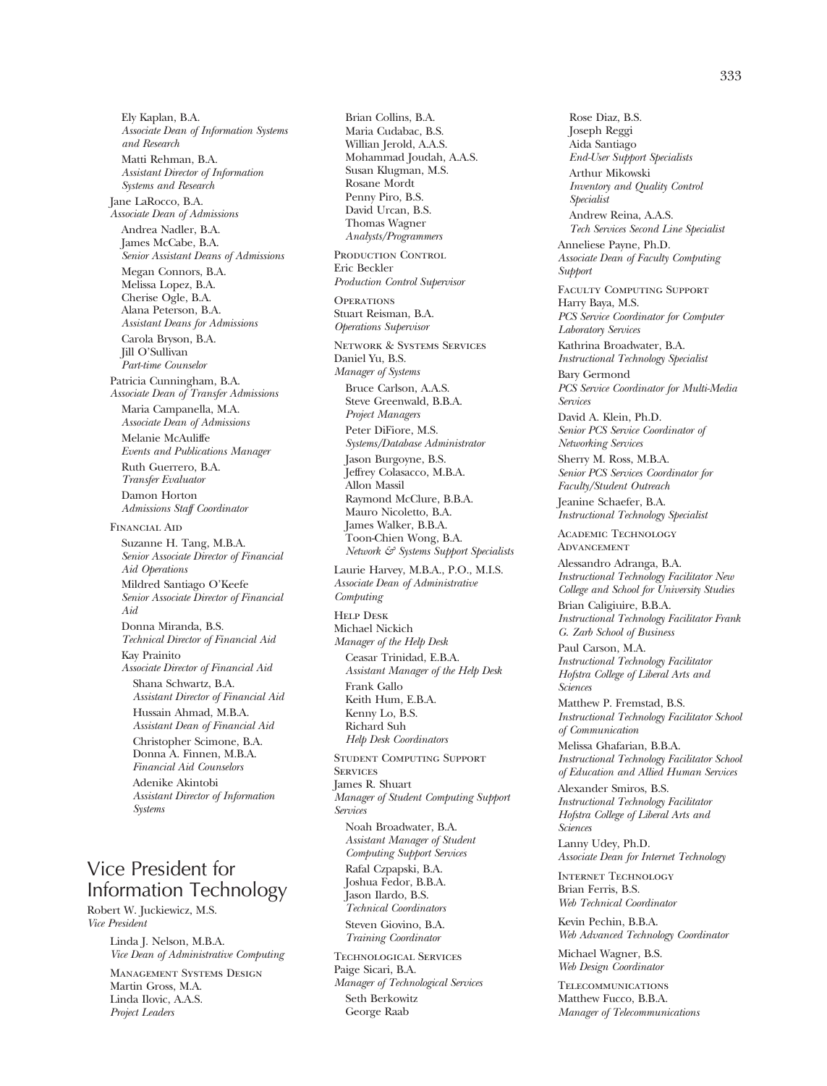Ely Kaplan, B.A. *Associate Dean of Information Systems and Research*  Matti Rehman, B.A. *Assistant Director of Information Systems and Research*  Jane LaRocco, B.A. *Associate Dean of Admissions*  Andrea Nadler, B.A. James McCabe, B.A. *Senior Assistant Deans of Admissions*  Megan Connors, B.A. Melissa Lopez, B.A. Cherise Ogle, B.A. Alana Peterson, B.A. *Assistant Deans for Admissions*  Carola Bryson, B.A. Jill O'Sullivan *Part-time Counselor*  Patricia Cunningham, B.A. *Associate Dean of Transfer Admissions*  Maria Campanella, M.A. *Associate Dean of Admissions*  Melanie McAuliffe *Events and Publications Manager*  Ruth Guerrero, B.A. *Transfer Evaluator*  Damon Horton *Admissions Staff Coordinator*  Financial Aid Suzanne H. Tang, M.B.A. *Senior Associate Director of Financial Aid Operations*  Mildred Santiago O'Keefe *Senior Associate Director of Financial Aid*  Donna Miranda, B.S. *Technical Director of Financial Aid*  Kay Prainito *Associate Director of Financial Aid*  Shana Schwartz, B.A. *Assistant Director of Financial Aid*  Hussain Ahmad, M.B.A. *Assistant Dean of Financial Aid*  Christopher Scimone, B.A. Donna A. Finnen, M.B.A. *Financial Aid Counselors*  Adenike Akintobi *Assistant Director of Information Systems* 

# Vice President for Information Technology

Robert W. Juckiewicz, M.S. *Vice President* 

> Linda J. Nelson, M.B.A. *Vice Dean of Administrative Computing*

Management Systems Design Martin Gross, M.A. Linda Ilovic, A.A.S. *Project Leaders* 

Brian Collins, B.A. Maria Cudabac, B.S. Willian Jerold, A.A.S. Mohammad Joudah, A.A.S. Susan Klugman, M.S. Rosane Mordt Penny Piro, B.S. David Urcan, B.S. Thomas Wagner *Analysts/Programmers*  PRODUCTION CONTROL Eric Beckler *Production Control Supervisor*  **OPERATIONS** Stuart Reisman, B.A. *Operations Supervisor*  Network & Systems Services Daniel Yu, B.S. *Manager of Systems*  Bruce Carlson, A.A.S. Steve Greenwald, B.B.A. *Project Managers*  Peter DiFiore, M.S. *Systems/Database Administrator*  Jason Burgoyne, B.S. Jeffrey Colasacco, M.B.A. Allon Massil Raymond McClure, B.B.A. Mauro Nicoletto, B.A. James Walker, B.B.A. Toon-Chien Wong, B.A. *Network & Systems Support Specialists*  Laurie Harvey, M.B.A., P.O., M.I.S. *Associate Dean of Administrative Computing*  Help Desk Michael Nickich *Manager of the Help Desk*  Ceasar Trinidad, E.B.A. *Assistant Manager of the Help Desk*  Frank Gallo Keith Hum, E.B.A. Kenny Lo, B.S. Richard Suh *Help Desk Coordinators*  Student Computing Support **SERVICES** James R. Shuart *Manager of Student Computing Support Services*  Noah Broadwater, B.A. *Assistant Manager of Student Computing Support Services*  Rafal Czpapski, B.A. Joshua Fedor, B.B.A. Jason Ilardo, B.S. *Technical Coordinators*  Steven Giovino, B.A. *Training Coordinator*  Technological Services Paige Sicari, B.A. *Manager of Technological Services*  Seth Berkowitz

George Raab

Rose Diaz, B.S. Joseph Reggi Aida Santiago *End-User Support Specialists*  Arthur Mikowski *Inventory and Quality Control Specialist*  Andrew Reina, A.A.S. *Tech Services Second Line Specialist*  Anneliese Payne, Ph.D. *Associate Dean of Faculty Computing Support*  Faculty Computing Support Harry Baya, M.S. *PCS Service Coordinator for Computer Laboratory Services*  Kathrina Broadwater, B.A. *Instructional Technology Specialist*  Bary Germond *PCS Service Coordinator for Multi-Media Services*  David A. Klein, Ph.D. *Senior PCS Service Coordinator of Networking Services*  Sherry M. Ross, M.B.A. *Senior PCS Services Coordinator for Faculty/Student Outreach*  Jeanine Schaefer, B.A. *Instructional Technology Specialist*  Academic Technology **ADVANCEMENT** Alessandro Adranga, B.A. *Instructional Technology Facilitator New College and School for University Studies*  Brian Caligiuire, B.B.A. *Instructional Technology Facilitator Frank G. Zarb School of Business*  Paul Carson, M.A. *Instructional Technology Facilitator Hofstra College of Liberal Arts and Sciences*  Matthew P. Fremstad, B.S. *Instructional Technology Facilitator School of Communication*  Melissa Ghafarian, B.B.A. *Instructional Technology Facilitator School of Education and Allied Human Services*  Alexander Smiros, B.S. *Instructional Technology Facilitator Hofstra College of Liberal Arts and Sciences*  Lanny Udey, Ph.D. *Associate Dean for Internet Technology*  Internet Technology Brian Ferris, B.S. *Web Technical Coordinator*  Kevin Pechin, B.B.A. *Web Advanced Technology Coordinator*  Michael Wagner, B.S. *Web Design Coordinator*  **TELECOMMUNICATIONS** Matthew Fucco, B.B.A.

*Manager of Telecommunications*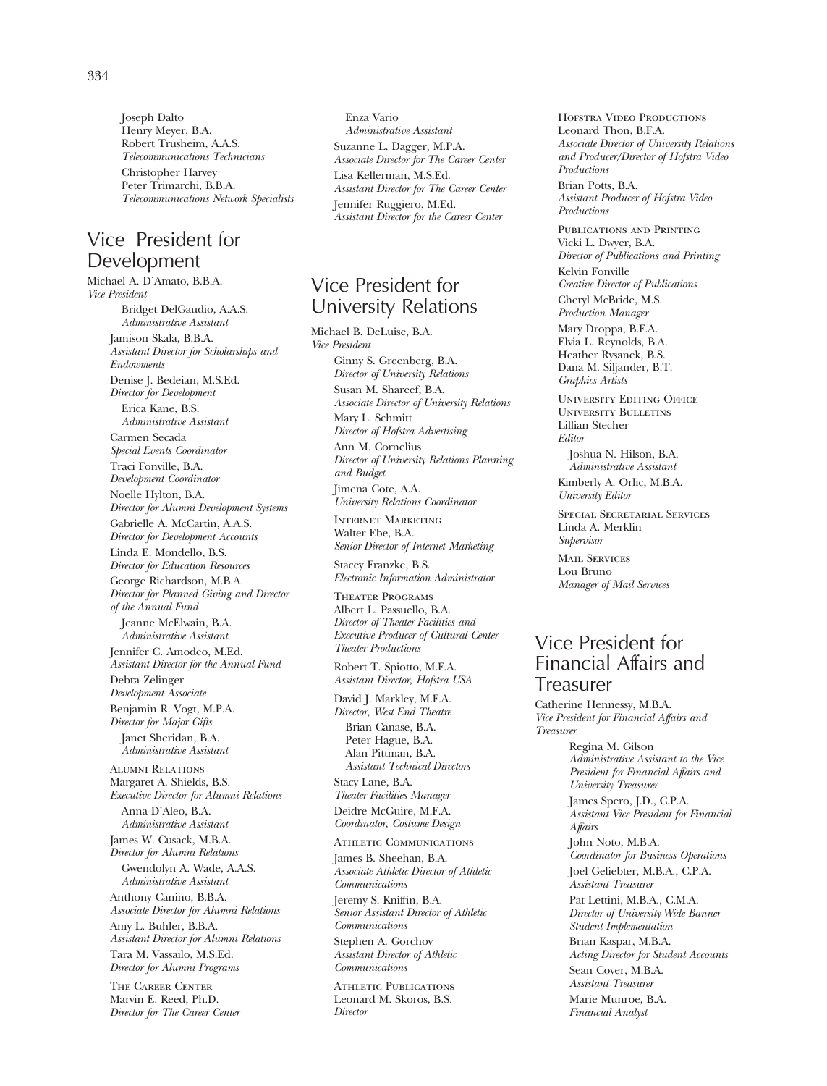Joseph Dalto Henry Meyer, B.A. Robert Trusheim, A.A.S. *Telecommunications Technicians*  Christopher Harvey Peter Trimarchi, B.B.A. *Telecommunications Network Specialists* 

# Vice President for Development

Michael A. D'Amato, B.B.A. *Vice President*  Bridget DelGaudio, A.A.S. *Administrative Assistant*  Jamison Skala, B.B.A. *Assistant Director for Scholarships and Endowments*  Denise J. Bedeian, M.S.Ed. *Director for Development*  Erica Kane, B.S. *Administrative Assistant*  Carmen Secada *Special Events Coordinator*  Traci Fonville, B.A. *Development Coordinator*  Noelle Hylton, B.A. *Director for Alumni Development Systems*  Gabrielle A. McCartin, A.A.S. *Director for Development Accounts*  Linda E. Mondello, B.S. *Director for Education Resources*  George Richardson, M.B.A. *Director for Planned Giving and Director of the Annual Fund*  Jeanne McElwain, B.A. *Administrative Assistant*  Jennifer C. Amodeo, M.Ed. *Assistant Director for the Annual Fund*  Debra Zelinger *Development Associate*  Benjamin R. Vogt, M.P.A. *Director for Major Gifts*  Janet Sheridan, B.A. *Administrative Assistant*  Alumni Relations Margaret A. Shields, B.S. *Executive Director for Alumni Relations*  Anna D'Aleo, B.A. *Administrative Assistant*  James W. Cusack, M.B.A. *Director for Alumni Relations*  Gwendolyn A. Wade, A.A.S. *Administrative Assistant*  Anthony Canino, B.B.A. *Associate Director for Alumni Relations*  Amy L. Buhler, B.B.A. *Assistant Director for Alumni Relations*  Tara M. Vassailo, M.S.Ed. *Director for Alumni Programs*  The Career Center Marvin E. Reed, Ph.D. *Director for The Career Center* 

Enza Vario *Administrative Assistant*  Suzanne L. Dagger, M.P.A. *Associate Director for The Career Center*  Lisa Kellerman, M.S.Ed. *Assistant Director for The Career Center*  Jennifer Ruggiero, M.Ed. *Assistant Director for the Career Center* 

# Vice President for University Relations

Michael B. DeLuise, B.A. *Vice President*  Ginny S. Greenberg, B.A. *Director of University Relations*  Susan M. Shareef, B.A. *Associate Director of University Relations*  Mary L. Schmitt *Director of Hofstra Advertising*  Ann M. Cornelius *Director of University Relations Planning and Budget*  Jimena Cote, A.A. *University Relations Coordinator* 

Internet Marketing Walter Ebe, B.A. *Senior Director of Internet Marketing* 

Stacey Franzke, B.S. *Electronic Information Administrator* 

Theater Programs Albert L. Passuello, B.A. *Director of Theater Facilities and Executive Producer of Cultural Center Theater Productions* 

Robert T. Spiotto, M.F.A. *Assistant Director, Hofstra USA* 

David J. Markley, M.F.A. *Director, West End Theatre*  Brian Canase, B.A. Peter Hague, B.A. Alan Pittman, B.A. *Assistant Technical Directors*  Stacy Lane, B.A. *Theater Facilities Manager*  Deidre McGuire, M.F.A. *Coordinator, Costume Design* 

Athletic Communications

James B. Sheehan, B.A. *Associate Athletic Director of Athletic Communications* 

Jeremy S. Kniffin, B.A. *Senior Assistant Director of Athletic Communications* 

Stephen A. Gorchov *Assistant Director of Athletic Communications* 

ATHLETIC PUBLICATIONS Leonard M. Skoros, B.S. *Director* 

HOFSTRA VIDEO PRODUCTIONS Leonard Thon, B.F.A. *Associate Director of University Relations and Producer/Director of Hofstra Video Productions* 

Brian Potts, B.A. *Assistant Producer of Hofstra Video Productions* 

Publications and Printing Vicki L. Dwyer, B.A. *Director of Publications and Printing*  Kelvin Fonville *Creative Director of Publications*  Cheryl McBride, M.S.

*Production Manager* 

Mary Droppa, B.F.A. Elvia L. Reynolds, B.A. Heather Rysanek, B.S. Dana M. Siljander, B.T. *Graphics Artists* 

University Editing Office University Bulletins Lillian Stecher *Editor* 

Joshua N. Hilson, B.A. *Administrative Assistant*  Kimberly A. Orlic, M.B.A. *University Editor* 

Special Secretarial Services Linda A. Merklin *Supervisor* 

Mail Services Lou Bruno *Manager of Mail Services* 

# Vice President for Financial Affairs and **I** reasurer

Catherine Hennessy, M.B.A. *Vice President for Financial Affairs and Treasurer* 

> Regina M. Gilson *Administrative Assistant to the Vice President for Financial Affairs and University Treasurer*

James Spero, J.D., C.P.A. *Assistant Vice President for Financial Affairs* 

John Noto, M.B.A. *Coordinator for Business Operations*  Joel Geliebter, M.B.A., C.P.A. *Assistant Treasurer* 

Pat Lettini, M.B.A., C.M.A. *Director of University-Wide Banner Student Implementation* 

Brian Kaspar, M.B.A. *Acting Director for Student Accounts* 

Sean Cover, M.B.A. *Assistant Treasurer* 

Marie Munroe, B.A. *Financial Analyst*